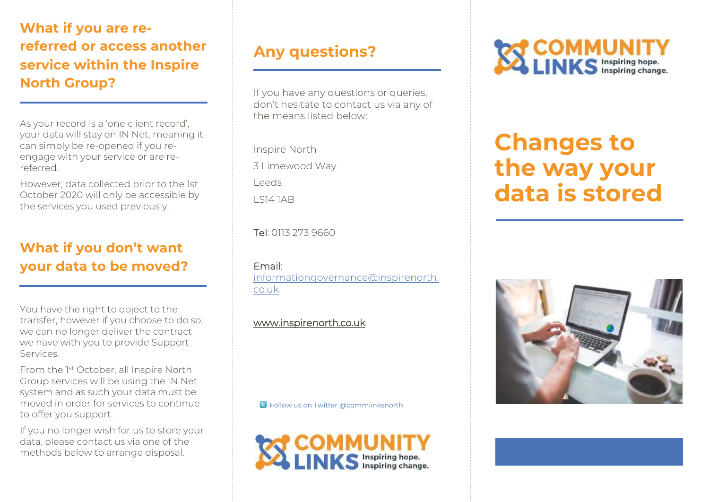**What if you are rereferred or access another service within the Inspire North Group?** 

As your record is a 'one client record', your data will stay on IN Net, meaning it can simply be re-opened if you reengage with your service or are rereferred.

However, data collected prior to the 1st October 2020 will only be accessible by the services you used previously.

#### **What if you don't want your data to be moved?**

You have the right to object to the transfer, however if you choose to do so, we can no longer deliver the contract we have with you to provide Support Services.

From the 1st October, all Inspire North Group services will be using the IN Net system and as such your data must be moved in order for services to continue to offer you support.

If you no longer wish for us to store your data, please contact us via one of the methods below to arrange disposal.

# **Any questions?**

If you have any questions or queries, don't hesitate to contact us via any of the means listed below:

Inspire North 3 Limewood Way Leeds  $I$  S14 1AB

Tel: 0113 273 9660

Email:

[informationgovernance@inspirenorth.](mailto:systemmigration@inspirenorth.co.uk) co.uk

#### www.inspirenorth.co.uk

**Follow us on Twitter @commlinksnorth** 





# **Changes to the way your data is stored**